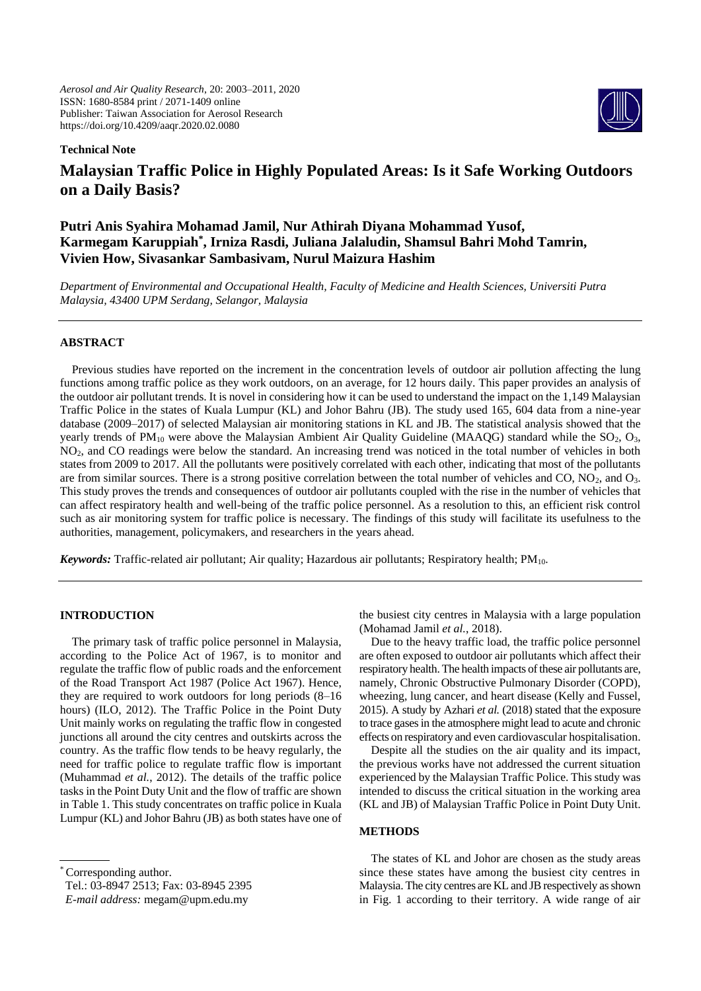*Aerosol and Air Quality Research*, 20: 2003–2011, 2020 ISSN: 1680-8584 print / 2071-1409 online Publisher: Taiwan Association for Aerosol Research https://doi.org/10.4209/aaqr.2020.02.0080

## **Technical Note**



# **Malaysian Traffic Police in Highly Populated Areas: Is it Safe Working Outdoors on a Daily Basis?**

## **Putri Anis Syahira Mohamad Jamil, Nur Athirah Diyana Mohammad Yusof, Karmegam Karuppiah\* , Irniza Rasdi, Juliana Jalaludin, Shamsul Bahri Mohd Tamrin, Vivien How, Sivasankar Sambasivam, Nurul Maizura Hashim**

*Department of Environmental and Occupational Health, Faculty of Medicine and Health Sciences, Universiti Putra Malaysia, 43400 UPM Serdang, Selangor, Malaysia*

## **ABSTRACT**

Previous studies have reported on the increment in the concentration levels of outdoor air pollution affecting the lung functions among traffic police as they work outdoors, on an average, for 12 hours daily. This paper provides an analysis of the outdoor air pollutant trends. It is novel in considering how it can be used to understand the impact on the 1,149 Malaysian Traffic Police in the states of Kuala Lumpur (KL) and Johor Bahru (JB). The study used 165, 604 data from a nine-year database (2009–2017) of selected Malaysian air monitoring stations in KL and JB. The statistical analysis showed that the yearly trends of PM<sub>10</sub> were above the Malaysian Ambient Air Quality Guideline (MAAQG) standard while the  $SO_2$ ,  $O_3$ , NO2, and CO readings were below the standard. An increasing trend was noticed in the total number of vehicles in both states from 2009 to 2017. All the pollutants were positively correlated with each other, indicating that most of the pollutants are from similar sources. There is a strong positive correlation between the total number of vehicles and  $CO$ ,  $NO<sub>2</sub>$ , and  $O<sub>3</sub>$ . This study proves the trends and consequences of outdoor air pollutants coupled with the rise in the number of vehicles that can affect respiratory health and well-being of the traffic police personnel. As a resolution to this, an efficient risk control such as air monitoring system for traffic police is necessary. The findings of this study will facilitate its usefulness to the authorities, management, policymakers, and researchers in the years ahead.

*Keywords:* Traffic-related air pollutant; Air quality; Hazardous air pollutants; Respiratory health; PM10.

## **INTRODUCTION**

The primary task of traffic police personnel in Malaysia, according to the Police Act of 1967, is to monitor and regulate the traffic flow of public roads and the enforcement of the Road Transport Act 1987 (Police Act 1967). Hence, they are required to work outdoors for long periods (8–16 hours) (ILO, 2012). The Traffic Police in the Point Duty Unit mainly works on regulating the traffic flow in congested junctions all around the city centres and outskirts across the country. As the traffic flow tends to be heavy regularly, the need for traffic police to regulate traffic flow is important (Muhammad *et al.*, 2012). The details of the traffic police tasks in the Point Duty Unit and the flow of traffic are shown in Table 1. This study concentrates on traffic police in Kuala Lumpur (KL) and Johor Bahru (JB) as both states have one of

\* Corresponding author.

Tel.: 03-8947 2513; Fax: 03-8945 2395

*E-mail address:* megam@upm.edu.my

the busiest city centres in Malaysia with a large population (Mohamad Jamil *et al.*, 2018).

Due to the heavy traffic load, the traffic police personnel are often exposed to outdoor air pollutants which affect their respiratory health. The health impacts of these air pollutants are, namely, Chronic Obstructive Pulmonary Disorder (COPD), wheezing, lung cancer, and heart disease (Kelly and Fussel, 2015). A study by Azhari *et al.* (2018) stated that the exposure to trace gases in the atmosphere might lead to acute and chronic effects on respiratory and even cardiovascular hospitalisation.

Despite all the studies on the air quality and its impact, the previous works have not addressed the current situation experienced by the Malaysian Traffic Police. This study was intended to discuss the critical situation in the working area (KL and JB) of Malaysian Traffic Police in Point Duty Unit.

### **METHODS**

The states of KL and Johor are chosen as the study areas since these states have among the busiest city centres in Malaysia. The city centres are KL and JB respectively as shown in Fig. 1 according to their territory. A wide range of air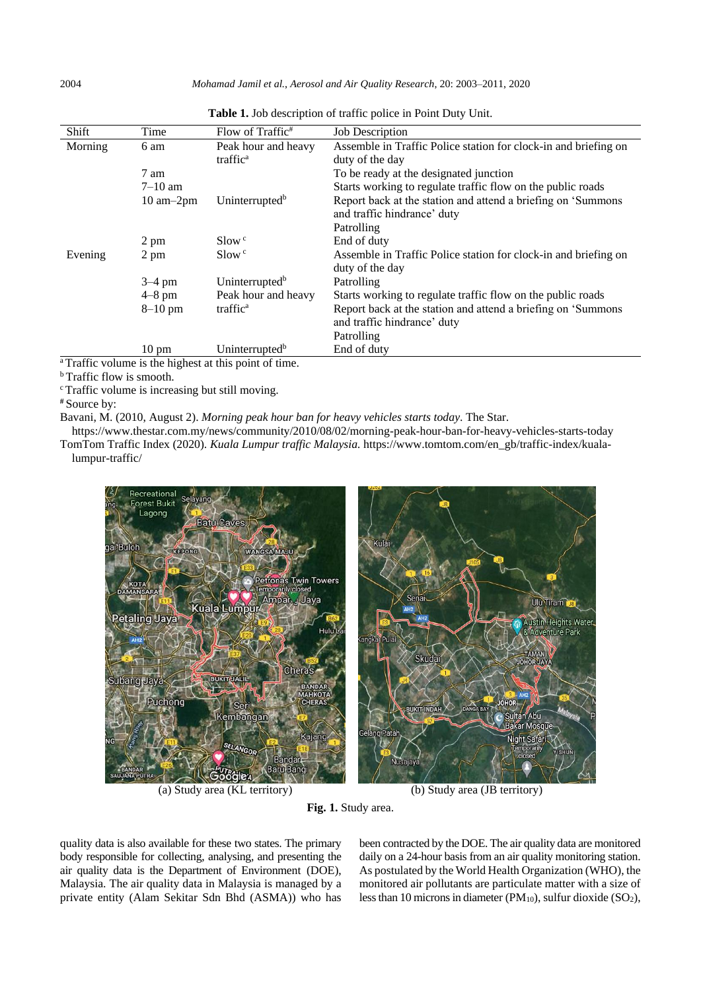2004 *Mohamad Jamil et al.*, *Aerosol and Air Quality Research*, 20: 2003–2011, 2020

| Shift         | Time                          | Flow of Traffic <sup>#</sup> | <b>Job Description</b>                                          |
|---------------|-------------------------------|------------------------------|-----------------------------------------------------------------|
| Morning       | 6 am                          | Peak hour and heavy          | Assemble in Traffic Police station for clock-in and briefing on |
|               |                               | traffic <sup>a</sup>         | duty of the day                                                 |
|               | 7 am                          |                              | To be ready at the designated junction                          |
|               | $7-10$ am                     |                              | Starts working to regulate traffic flow on the public roads     |
|               | $10 \text{ am} - 2 \text{pm}$ | Uninterrupted <sup>b</sup>   | Report back at the station and attend a briefing on 'Summons'   |
|               |                               |                              | and traffic hindrance' duty                                     |
|               |                               |                              | Patrolling                                                      |
|               | 2 pm                          | Slow <sup>c</sup>            | End of duty                                                     |
| Evening       | 2 pm                          | Slow <sup>c</sup>            | Assemble in Traffic Police station for clock-in and briefing on |
|               |                               |                              | duty of the day                                                 |
|               | $3-4$ pm                      | Uninterrupted <sup>b</sup>   | Patrolling                                                      |
|               | $4-8$ pm                      | Peak hour and heavy          | Starts working to regulate traffic flow on the public roads     |
|               | $8-10$ pm                     | traffic <sup>a</sup>         | Report back at the station and attend a briefing on 'Summons'   |
|               |                               |                              | and traffic hindrance' duty                                     |
|               |                               |                              | Patrolling                                                      |
| $\sim$ $\sim$ | $10 \text{ pm}$<br>.          | Uninterrupted <sup>b</sup>   | End of duty                                                     |

**Table 1.** Job description of traffic police in Point Duty Unit.

<sup>a</sup>Traffic volume is the highest at this point of time.

<sup>b</sup>Traffic flow is smooth.

<sup>c</sup> Traffic volume is increasing but still moving.

**#** Source by:

Bavani, M. (2010, August 2). *Morning peak hour ban for heavy vehicles starts today*. The Star.

<https://www.thestar.com.my/news/community/2010/08/02/morning-peak-hour-ban-for-heavy-vehicles-starts-today> TomTom Traffic Index (2020). *Kuala Lumpur traffic Malaysia.* [https://www.tomtom.com/en\\_gb/traffic-index/kuala](https://www.tomtom.com/en_gb/traffic-index/kuala-lumpur-traffic/)[lumpur-traffic/](https://www.tomtom.com/en_gb/traffic-index/kuala-lumpur-traffic/)



(a) Study area (KL territory) (b) Study area (JB territory)

**Fig. 1.** Study area.

quality data is also available for these two states. The primary body responsible for collecting, analysing, and presenting the air quality data is the Department of Environment (DOE), Malaysia. The air quality data in Malaysia is managed by a private entity (Alam Sekitar Sdn Bhd (ASMA)) who has

been contracted by the DOE. The air quality data are monitored daily on a 24-hour basis from an air quality monitoring station. As postulated by the World Health Organization (WHO), the monitored air pollutants are particulate matter with a size of less than 10 microns in diameter ( $PM_{10}$ ), sulfur dioxide ( $SO_2$ ),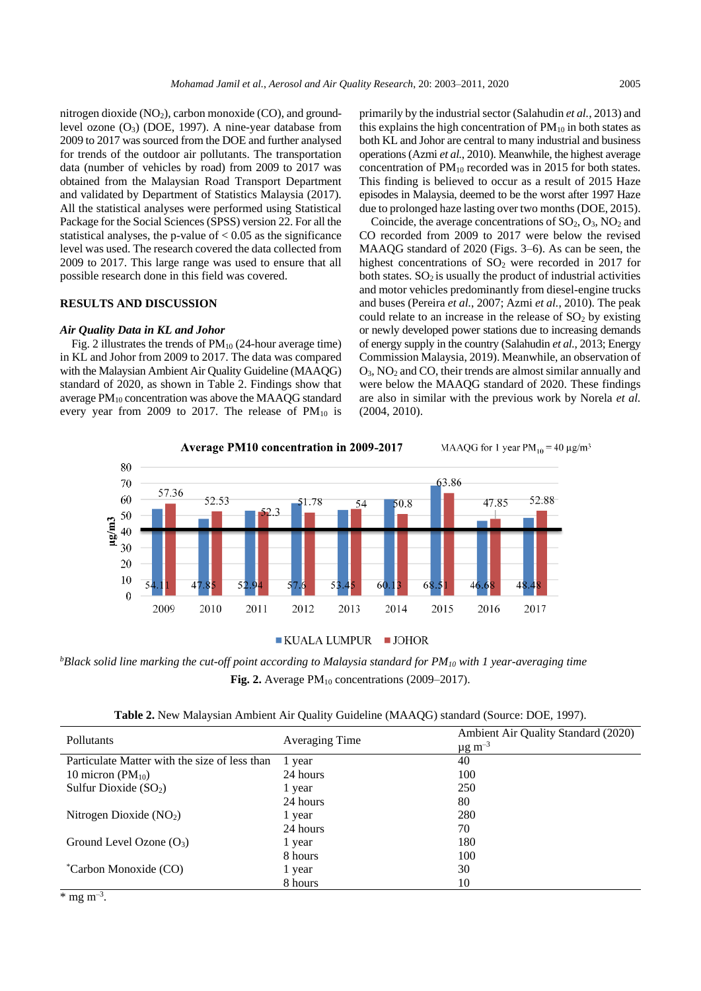nitrogen dioxide  $(NO<sub>2</sub>)$ , carbon monoxide  $(CO)$ , and groundlevel ozone  $(O_3)$  (DOE, 1997). A nine-year database from 2009 to 2017 was sourced from the DOE and further analysed for trends of the outdoor air pollutants. The transportation data (number of vehicles by road) from 2009 to 2017 was obtained from the Malaysian Road Transport Department and validated by Department of Statistics Malaysia (2017). All the statistical analyses were performed using Statistical Package for the Social Sciences (SPSS) version 22. For all the statistical analyses, the p-value of  $< 0.05$  as the significance level was used. The research covered the data collected from 2009 to 2017. This large range was used to ensure that all possible research done in this field was covered.

#### **RESULTS AND DISCUSSION**

#### *Air Quality Data in KL and Johor*

Fig. 2 illustrates the trends of  $PM_{10}$  (24-hour average time) in KL and Johor from 2009 to 2017. The data was compared with the Malaysian Ambient Air Quality Guideline (MAAQG) standard of 2020, as shown in Table 2. Findings show that average PM<sup>10</sup> concentration was above the MAAQG standard every year from 2009 to 2017. The release of  $PM_{10}$  is

primarily by the industrial sector (Salahudin *et al.*, 2013) and this explains the high concentration of  $PM_{10}$  in both states as both KL and Johor are central to many industrial and business operations (Azmi *et al.*, 2010). Meanwhile, the highest average concentration of  $PM_{10}$  recorded was in 2015 for both states. This finding is believed to occur as a result of 2015 Haze episodes in Malaysia, deemed to be the worst after 1997 Haze due to prolonged haze lasting over two months (DOE, 2015).

Coincide, the average concentrations of  $SO_2$ ,  $O_3$ ,  $NO_2$  and CO recorded from 2009 to 2017 were below the revised MAAQG standard of 2020 (Figs. 3–6). As can be seen, the highest concentrations of  $SO<sub>2</sub>$  were recorded in 2017 for both states.  $SO_2$  is usually the product of industrial activities and motor vehicles predominantly from diesel-engine trucks and buses (Pereira *et al.*, 2007; Azmi *et al.*, 2010). The peak could relate to an increase in the release of  $SO<sub>2</sub>$  by existing or newly developed power stations due to increasing demands of energy supply in the country (Salahudin *et al.*, 2013; Energy Commission Malaysia, 2019). Meanwhile, an observation of  $O_3$ ,  $NO_2$  and  $CO$ , their trends are almost similar annually and were below the MAAQG standard of 2020. These findings are also in similar with the previous work by Norela *et al.* (2004, 2010).



#### KUALA LUMPUR JOHOR

*<sup>b</sup>Black solid line marking the cut-off point according to Malaysia standard for PM<sup>10</sup> with 1 year-averaging time* **Fig. 2.** Average  $PM_{10}$  concentrations (2009–2017).

|  |  |  |  | Table 2. New Malaysian Ambient Air Quality Guideline (MAAQG) standard (Source: DOE, 1997). |  |
|--|--|--|--|--------------------------------------------------------------------------------------------|--|
|--|--|--|--|--------------------------------------------------------------------------------------------|--|

| <b>Pollutants</b>                             | Averaging Time | Ambient Air Quality Standard (2020)<br>$\mu$ g m <sup>-3</sup> |
|-----------------------------------------------|----------------|----------------------------------------------------------------|
| Particulate Matter with the size of less than | 1 year         | 40                                                             |
| 10 micron ( $PM_{10}$ )                       | 24 hours       | 100                                                            |
| Sulfur Dioxide $(SO2)$                        | 1 year         | 250                                                            |
|                                               | 24 hours       | 80                                                             |
| Nitrogen Dioxide $(NO2)$                      | 1 year         | 280                                                            |
|                                               | 24 hours       | 70                                                             |
| Ground Level Ozone $(O_3)$                    | 1 year         | 180                                                            |
|                                               | 8 hours        | 100                                                            |
| <i>Carbon Monoxide (CO)</i>                   | 1 year         | 30                                                             |
|                                               | 8 hours        | 10                                                             |

 $*$  mg m<sup>-3</sup>.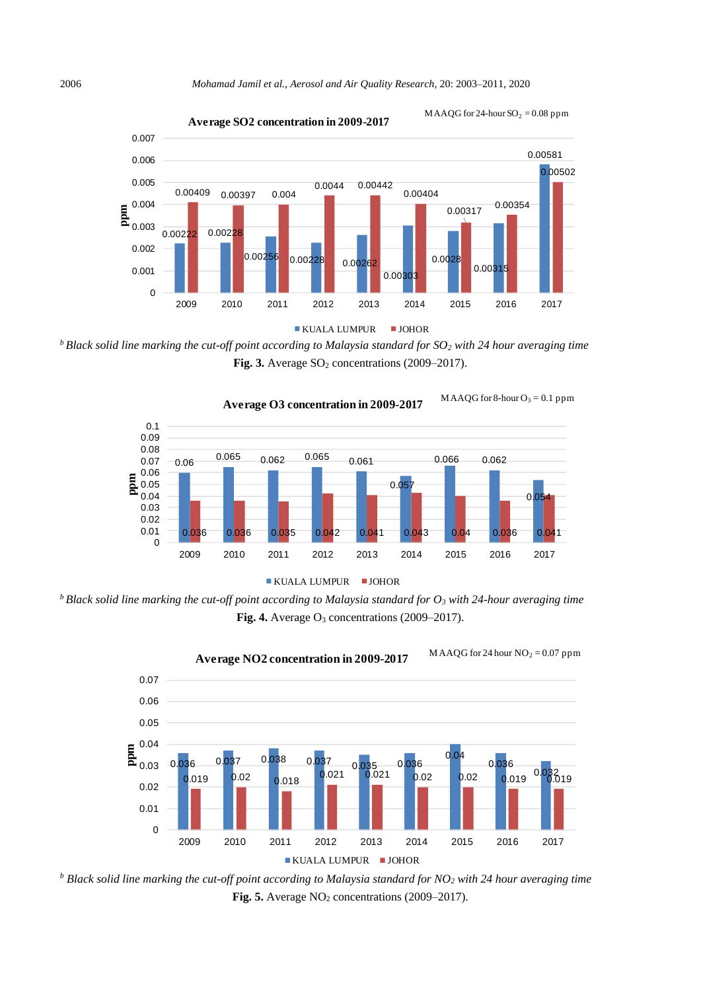

*<sup>b</sup> Black solid line marking the cut-off point according to Malaysia standard for SO<sup>2</sup> with 24 hour averaging time* **Fig. 3.** Average  $SO_2$  concentrations (2009–2017).





*b* Black solid line marking the cut-off point according to Malaysia standard for O<sub>3</sub> with 24-hour averaging time **Fig. 4.** Average  $O_3$  concentrations (2009–2017).



 $MAAQG$  for 24 hour  $NO<sub>2</sub> = 0.07$  ppm

*b* Black solid line marking the cut-off point according to Malaysia standard for NO<sub>2</sub> with 24 hour averaging time

**Fig. 5.** Average  $NO<sub>2</sub>$  concentrations (2009–2017).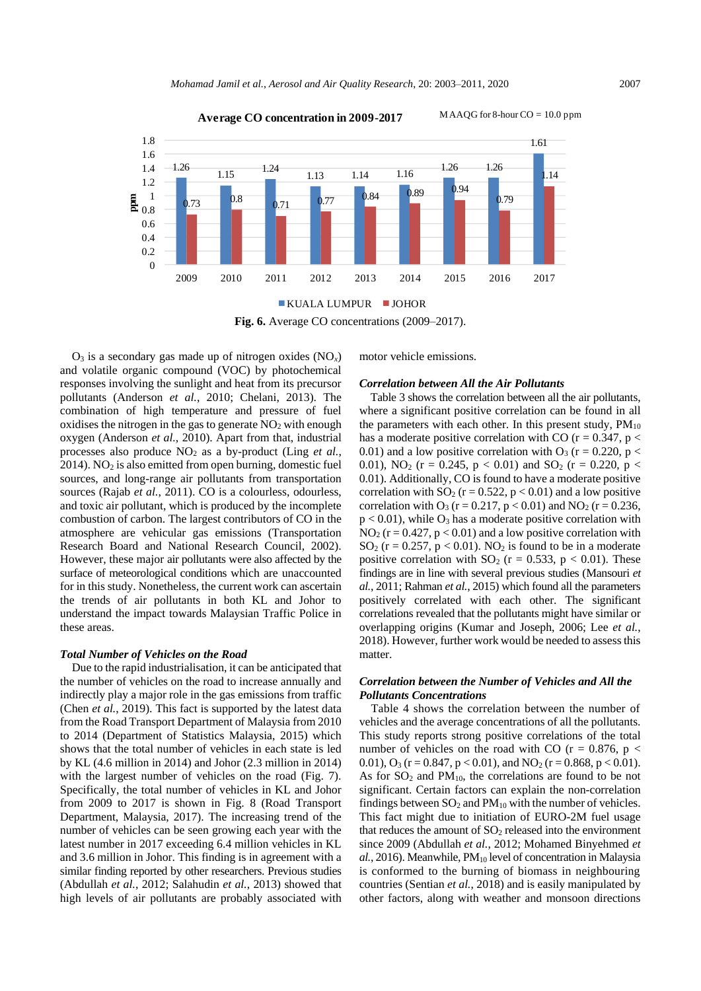

**Fig. 6.** Average CO concentrations (2009–2017).

 $O_3$  is a secondary gas made up of nitrogen oxides  $(NO_x)$ and volatile organic compound (VOC) by photochemical responses involving the sunlight and heat from its precursor pollutants (Anderson *et al.*, 2010; Chelani, 2013). The combination of high temperature and pressure of fuel oxidises the nitrogen in the gas to generate  $NO<sub>2</sub>$  with enough oxygen (Anderson *et al.*, 2010). Apart from that, industrial processes also produce NO<sup>2</sup> as a by-product (Ling *et al.*,  $2014$ ). NO<sub>2</sub> is also emitted from open burning, domestic fuel sources, and long-range air pollutants from transportation sources (Rajab *et al.*, 2011). CO is a colourless, odourless, and toxic air pollutant, which is produced by the incomplete combustion of carbon. The largest contributors of CO in the atmosphere are vehicular gas emissions (Transportation Research Board and National Research Council, 2002). However, these major air pollutants were also affected by the surface of meteorological conditions which are unaccounted for in this study. Nonetheless, the current work can ascertain the trends of air pollutants in both KL and Johor to understand the impact towards Malaysian Traffic Police in these areas.

#### *Total Number of Vehicles on the Road*

Due to the rapid industrialisation, it can be anticipated that the number of vehicles on the road to increase annually and indirectly play a major role in the gas emissions from traffic (Chen *et al.*, 2019). This fact is supported by the latest data from the Road Transport Department of Malaysia from 2010 to 2014 (Department of Statistics Malaysia, 2015) which shows that the total number of vehicles in each state is led by KL (4.6 million in 2014) and Johor (2.3 million in 2014) with the largest number of vehicles on the road (Fig. 7). Specifically, the total number of vehicles in KL and Johor from 2009 to 2017 is shown in Fig. 8 (Road Transport Department, Malaysia, 2017). The increasing trend of the number of vehicles can be seen growing each year with the latest number in 2017 exceeding 6.4 million vehicles in KL and 3.6 million in Johor. This finding is in agreement with a similar finding reported by other researchers. Previous studies (Abdullah *et al.*, 2012; Salahudin *et al.*, 2013) showed that high levels of air pollutants are probably associated with motor vehicle emissions.

#### *Correlation between All the Air Pollutants*

Table 3 shows the correlation between all the air pollutants, where a significant positive correlation can be found in all the parameters with each other. In this present study,  $PM_{10}$ has a moderate positive correlation with CO ( $r = 0.347$ ,  $p <$ 0.01) and a low positive correlation with O<sub>3</sub> ( $r = 0.220$ ,  $p <$ 0.01), NO<sub>2</sub> (r = 0.245, p < 0.01) and SO<sub>2</sub> (r = 0.220, p < 0.01). Additionally, CO is found to have a moderate positive correlation with  $SO_2$  (r = 0.522, p < 0.01) and a low positive correlation with  $O_3$  (r = 0.217, p < 0.01) and  $NO_2$  (r = 0.236,  $p < 0.01$ ), while  $O_3$  has a moderate positive correlation with  $NO<sub>2</sub>$  (r = 0.427, p < 0.01) and a low positive correlation with  $SO<sub>2</sub>$  (r = 0.257, p < 0.01). NO<sub>2</sub> is found to be in a moderate positive correlation with  $SO_2$  (r = 0.533, p < 0.01). These findings are in line with several previous studies (Mansouri *et al.*, 2011; Rahman *et al.*, 2015) which found all the parameters positively correlated with each other. The significant correlations revealed that the pollutants might have similar or overlapping origins (Kumar and Joseph, 2006; Lee *et al.*, 2018). However, further work would be needed to assess this matter.

## *Correlation between the Number of Vehicles and All the Pollutants Concentrations*

Table 4 shows the correlation between the number of vehicles and the average concentrations of all the pollutants. This study reports strong positive correlations of the total number of vehicles on the road with CO ( $r = 0.876$ ,  $p <$ 0.01),  $O_3$  (r = 0.847, p < 0.01), and  $NO_2$  (r = 0.868, p < 0.01). As for  $SO_2$  and  $PM_{10}$ , the correlations are found to be not significant. Certain factors can explain the non-correlation findings between  $SO_2$  and  $PM_{10}$  with the number of vehicles. This fact might due to initiation of EURO-2M fuel usage that reduces the amount of  $SO<sub>2</sub>$  released into the environment since 2009 (Abdullah *et al.*, 2012; Mohamed Binyehmed *et al.*, 2016). Meanwhile, PM<sub>10</sub> level of concentration in Malaysia is conformed to the burning of biomass in neighbouring countries (Sentian *et al.*, 2018) and is easily manipulated by other factors, along with weather and monsoon directions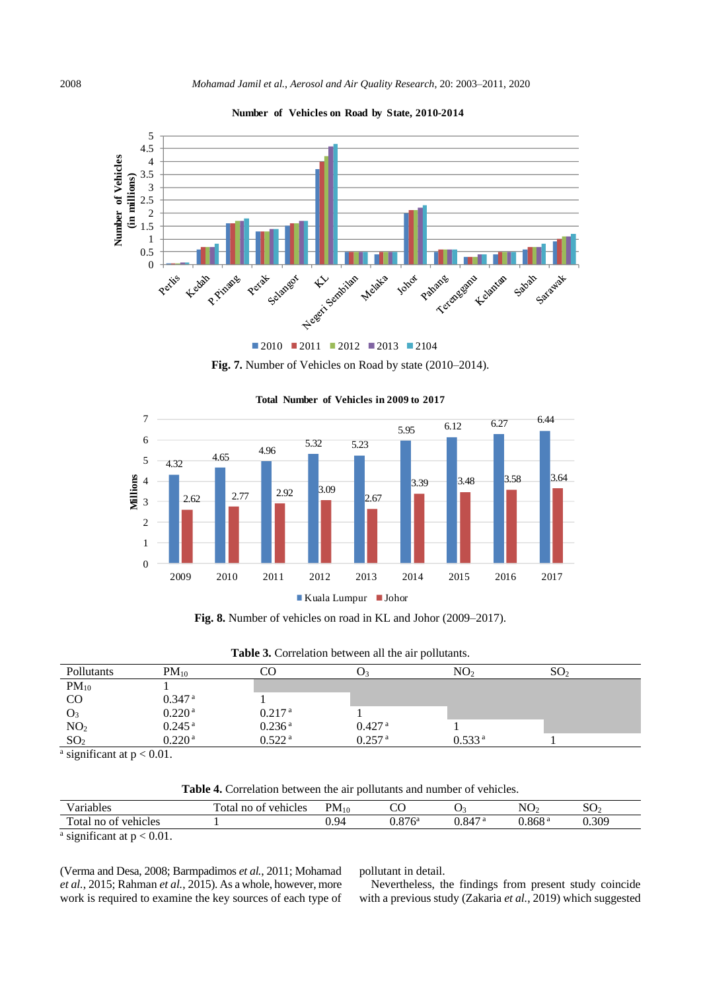

**Number of Vehicles on Road by State, 2010-2014**

**Fig. 7.** Number of Vehicles on Road by state (2010–2014).  $2010$   $2011$   $2012$   $2013$   $2104$ 



**Total Number of Vehicles in 2009 to 2017**

**Fig. 8.** Number of vehicles on road in KL and Johor (2009–2017).

| Pollutants      | $PM_{10}$            | CO                 | ◡                    | NO <sub>2</sub>    | SO <sub>2</sub> |
|-----------------|----------------------|--------------------|----------------------|--------------------|-----------------|
| $PM_{10}$       |                      |                    |                      |                    |                 |
| CO              | $0.347$ <sup>a</sup> |                    |                      |                    |                 |
| $O_3$           | 0.220 <sup>a</sup>   | 0.217 <sup>a</sup> |                      |                    |                 |
| NO <sub>2</sub> | $0.245$ <sup>a</sup> | 0.236 <sup>a</sup> | $0.427$ <sup>a</sup> |                    |                 |
| SO <sub>2</sub> | 0.220 <sup>a</sup>   | 0.522 <sup>a</sup> | $0.257$ <sup>a</sup> | 0.533 <sup>a</sup> |                 |

**Table 3.** Correlation between all the air pollutants.

<sup>a</sup> significant at  $p < 0.01$ .

| $\sim$ 0.110<br>$\cdot$ . $\sim$ $\sim$<br>anie: | Ð<br>vehicles<br>O1<br>ota<br>no | $PM_{10}$ | $\sim$    |                                                      | $\mathbf{r}$<br>NI<br>$\tilde{\phantom{a}}$ | $\sim$<br>ມບ |
|--------------------------------------------------|----------------------------------|-----------|-----------|------------------------------------------------------|---------------------------------------------|--------------|
| $\mathbf{r}$<br>vehicles<br>ota<br>O1<br>nc      |                                  |           | 0.75<br>. | $4 - a$<br>$\sim$<br>$\cdot$<br>$\mathbf{a}$<br>J.O' | 2009<br>868                                 | J.309        |
| $\sim$<br>$\sim$ $\sim$ $\sim$<br>. .            |                                  |           |           |                                                      |                                             |              |

<sup>a</sup> significant at  $p < 0.01$ .

(Verma and Desa, 2008; Barmpadimos *et al.*, 2011; Mohamad *et al.*, 2015; Rahman *et al.*, 2015). As a whole, however, more work is required to examine the key sources of each type of pollutant in detail.

Nevertheless, the findings from present study coincide with a previous study (Zakaria *et al.*, 2019) which suggested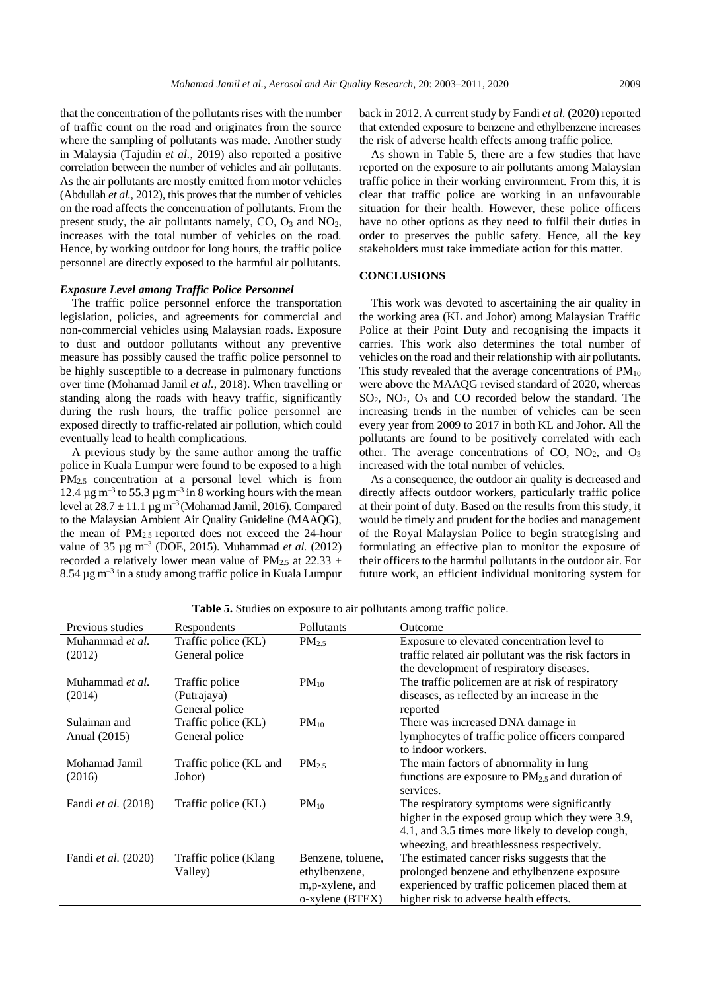that the concentration of the pollutants rises with the number of traffic count on the road and originates from the source where the sampling of pollutants was made. Another study in Malaysia (Tajudin *et al.*, 2019) also reported a positive correlation between the number of vehicles and air pollutants. As the air pollutants are mostly emitted from motor vehicles (Abdullah *et al.*, 2012), this proves that the number of vehicles on the road affects the concentration of pollutants. From the present study, the air pollutants namely,  $CO$ ,  $O_3$  and  $NO_2$ , increases with the total number of vehicles on the road. Hence, by working outdoor for long hours, the traffic police personnel are directly exposed to the harmful air pollutants.

#### *Exposure Level among Traffic Police Personnel*

The traffic police personnel enforce the transportation legislation, policies, and agreements for commercial and non-commercial vehicles using Malaysian roads. Exposure to dust and outdoor pollutants without any preventive measure has possibly caused the traffic police personnel to be highly susceptible to a decrease in pulmonary functions over time (Mohamad Jamil *et al.*, 2018). When travelling or standing along the roads with heavy traffic, significantly during the rush hours, the traffic police personnel are exposed directly to traffic-related air pollution, which could eventually lead to health complications.

A previous study by the same author among the traffic police in Kuala Lumpur were found to be exposed to a high PM2.5 concentration at a personal level which is from 12.4  $\mu$ g m<sup>-3</sup> to 55.3  $\mu$ g m<sup>-3</sup> in 8 working hours with the mean level at  $28.7 \pm 11.1$  µg m<sup>-3</sup> (Mohamad Jamil, 2016). Compared to the Malaysian Ambient Air Quality Guideline (MAAQG), the mean of  $PM_{2.5}$  reported does not exceed the 24-hour value of 35 µg m–3 (DOE, 2015). Muhammad *et al.* (2012) recorded a relatively lower mean value of PM<sub>2.5</sub> at 22.33  $\pm$  $8.54 \,\mu g$  m<sup>-3</sup> in a study among traffic police in Kuala Lumpur back in 2012. A current study by Fandi *et al.* (2020) reported that extended exposure to benzene and ethylbenzene increases the risk of adverse health effects among traffic police.

As shown in Table 5, there are a few studies that have reported on the exposure to air pollutants among Malaysian traffic police in their working environment. From this, it is clear that traffic police are working in an unfavourable situation for their health. However, these police officers have no other options as they need to fulfil their duties in order to preserves the public safety. Hence, all the key stakeholders must take immediate action for this matter.

## **CONCLUSIONS**

This work was devoted to ascertaining the air quality in the working area (KL and Johor) among Malaysian Traffic Police at their Point Duty and recognising the impacts it carries. This work also determines the total number of vehicles on the road and their relationship with air pollutants. This study revealed that the average concentrations of  $PM_{10}$ were above the MAAQG revised standard of 2020, whereas SO2, NO2, O<sup>3</sup> and CO recorded below the standard. The increasing trends in the number of vehicles can be seen every year from 2009 to 2017 in both KL and Johor. All the pollutants are found to be positively correlated with each other. The average concentrations of CO,  $NO<sub>2</sub>$ , and  $O<sub>3</sub>$ increased with the total number of vehicles.

As a consequence, the outdoor air quality is decreased and directly affects outdoor workers, particularly traffic police at their point of duty. Based on the results from this study, it would be timely and prudent for the bodies and management of the Royal Malaysian Police to begin strategising and formulating an effective plan to monitor the exposure of their officers to the harmful pollutants in the outdoor air. For future work, an efficient individual monitoring system for

| Previous studies    | Respondents            | Pollutants        | Outcome                                               |
|---------------------|------------------------|-------------------|-------------------------------------------------------|
| Muhammad et al.     | Traffic police (KL)    | PM <sub>2.5</sub> | Exposure to elevated concentration level to           |
| (2012)              | General police         |                   | traffic related air pollutant was the risk factors in |
|                     |                        |                   | the development of respiratory diseases.              |
| Muhammad et al.     | Traffic police         | $PM_{10}$         | The traffic policemen are at risk of respiratory      |
| (2014)              | (Putrajaya)            |                   | diseases, as reflected by an increase in the          |
|                     | General police         |                   | reported                                              |
| Sulaiman and        | Traffic police (KL)    | $PM_{10}$         | There was increased DNA damage in                     |
| Anual (2015)        | General police         |                   | lymphocytes of traffic police officers compared       |
|                     |                        |                   | to indoor workers.                                    |
| Mohamad Jamil       | Traffic police (KL and | $PM_{2.5}$        | The main factors of abnormality in lung               |
| (2016)              | Johor)                 |                   | functions are exposure to $PM_{2.5}$ and duration of  |
|                     |                        |                   | services.                                             |
| Fandi et al. (2018) | Traffic police (KL)    | $PM_{10}$         | The respiratory symptoms were significantly           |
|                     |                        |                   | higher in the exposed group which they were 3.9,      |
|                     |                        |                   | 4.1, and 3.5 times more likely to develop cough,      |
|                     |                        |                   | wheezing, and breathlessness respectively.            |
| Fandi et al. (2020) | Traffic police (Klang  | Benzene, toluene, | The estimated cancer risks suggests that the          |
|                     | Valley)                | ethylbenzene,     | prolonged benzene and ethylbenzene exposure           |
|                     |                        | m, p-xylene, and  | experienced by traffic policemen placed them at       |
|                     |                        | o-xylene (BTEX)   | higher risk to adverse health effects.                |

**Table 5.** Studies on exposure to air pollutants among traffic police.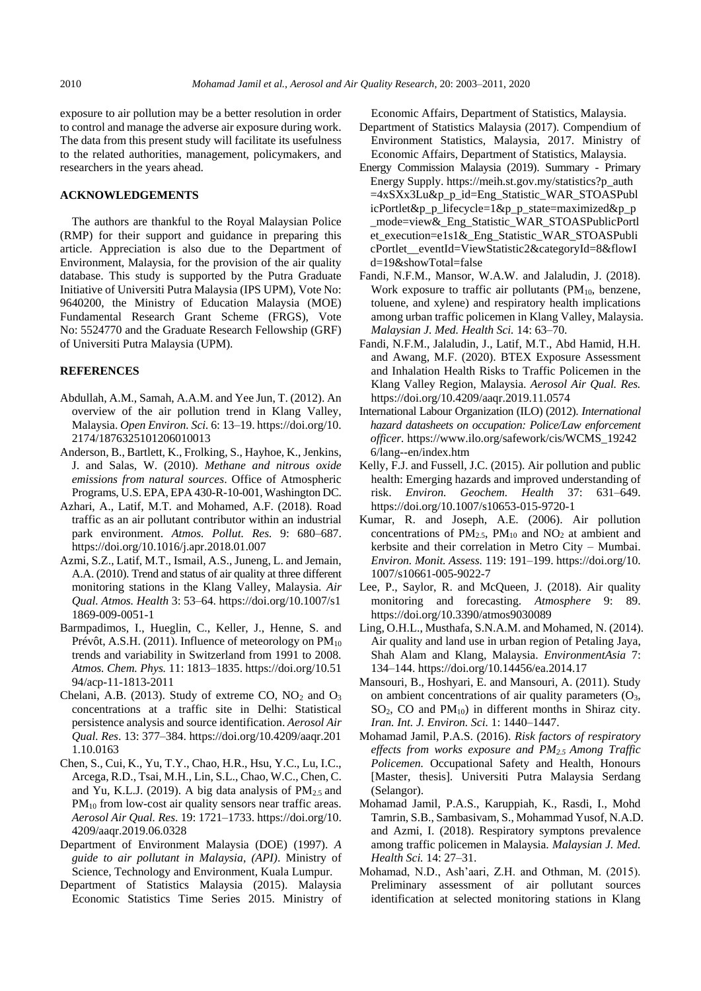exposure to air pollution may be a better resolution in order to control and manage the adverse air exposure during work. The data from this present study will facilitate its usefulness to the related authorities, management, policymakers, and researchers in the years ahead.

## **ACKNOWLEDGEMENTS**

The authors are thankful to the Royal Malaysian Police (RMP) for their support and guidance in preparing this article. Appreciation is also due to the Department of Environment, Malaysia, for the provision of the air quality database. This study is supported by the Putra Graduate Initiative of Universiti Putra Malaysia (IPS UPM), Vote No: 9640200, the Ministry of Education Malaysia (MOE) Fundamental Research Grant Scheme (FRGS), Vote No: 5524770 and the Graduate Research Fellowship (GRF) of Universiti Putra Malaysia (UPM).

## **REFERENCES**

- Abdullah, A.M., Samah, A.A.M. and Yee Jun, T. (2012). An overview of the air pollution trend in Klang Valley, Malaysia. *Open Environ. Sci.* 6: 13–19. [https://doi.org/10.](https://doi.org/10.2174/1876325101206010013) [2174/1876325101206010013](https://doi.org/10.2174/1876325101206010013)
- Anderson, B., Bartlett, K., Frolking, S., Hayhoe, K., Jenkins, J. and Salas, W. (2010). *Methane and nitrous oxide emissions from natural sources*. Office of Atmospheric Programs, U.S. EPA, EPA 430-R-10-001, Washington DC.
- Azhari, A., Latif, M.T. and Mohamed, A.F. (2018). Road traffic as an air pollutant contributor within an industrial park environment. *Atmos. Pollut. Res.* 9: 680–687. <https://doi.org/10.1016/j.apr.2018.01.007>
- Azmi, S.Z., Latif, M.T., Ismail, A.S., Juneng, L. and Jemain, A.A. (2010). Trend and status of air quality at three different monitoring stations in the Klang Valley, Malaysia. *Air Qual. Atmos. Health* 3: 53–64. [https://doi.org/10.1007/s1](https://doi.org/10.1007/s11869-009-0051-1) [1869-009-0051-1](https://doi.org/10.1007/s11869-009-0051-1)
- Barmpadimos, I., Hueglin, C., Keller, J., Henne, S. and Prévôt, A.S.H. (2011). Influence of meteorology on  $PM_{10}$ trends and variability in Switzerland from 1991 to 2008. *Atmos. Chem. Phys.* 11: 1813–1835[. https://doi.org/10.51](https://doi.org/10.5194/acp-11-1813-2011) [94/acp-11-1813-2011](https://doi.org/10.5194/acp-11-1813-2011)
- Chelani, A.B. (2013). Study of extreme CO,  $NO<sub>2</sub>$  and  $O<sub>3</sub>$ concentrations at a traffic site in Delhi: Statistical persistence analysis and source identification. *Aerosol Air Qual. Res*. 13: 377–384. [https://doi.org/10.4209/aaqr.201](https://doi.org/10.4209/aaqr.2011.10.0163) [1.10.0163](https://doi.org/10.4209/aaqr.2011.10.0163)
- Chen, S., Cui, K., Yu, T.Y., Chao, H.R., Hsu, Y.C., Lu, I.C., Arcega, R.D., Tsai, M.H., Lin, S.L., Chao, W.C., Chen, C. and Yu, K.L.J. (2019). A big data analysis of  $PM_{2.5}$  and PM<sub>10</sub> from low-cost air quality sensors near traffic areas. *Aerosol Air Qual. Res*. 19: 1721–1733. [https://doi.org/10.](https://doi.org/10.4209/aaqr.2019.06.0328) [4209/aaqr.2019.06.0328](https://doi.org/10.4209/aaqr.2019.06.0328)
- Department of Environment Malaysia (DOE) (1997). *A guide to air pollutant in Malaysia, (API)*. Ministry of Science, Technology and Environment, Kuala Lumpur.
- Department of Statistics Malaysia (2015). Malaysia Economic Statistics Time Series 2015. Ministry of

Economic Affairs, Department of Statistics, Malaysia.

- Department of Statistics Malaysia (2017). Compendium of Environment Statistics, Malaysia, 2017. Ministry of Economic Affairs, Department of Statistics, Malaysia.
- Energy Commission Malaysia (2019). Summary Primary Energy Supply. [https://meih.st.gov.my/statistics?p\\_auth](https://meih.st.gov.my/statistics?p_auth=4xSXx3Lu&p_p_id=Eng_Statistic_WAR_STOASPublicPortlet&p_p_lifecycle=1&p_p_state=maximized&p_p_mode=view&_Eng_Statistic_WAR_STOASPublicPortlet_execution=e1s1&_Eng_Statistic_WAR_STOASPublicPortlet__eventId=ViewStatistic2&categoryId=8&flowId=19&showTotal=false) [=4xSXx3Lu&p\\_p\\_id=Eng\\_Statistic\\_WAR\\_STOASPubl](https://meih.st.gov.my/statistics?p_auth=4xSXx3Lu&p_p_id=Eng_Statistic_WAR_STOASPublicPortlet&p_p_lifecycle=1&p_p_state=maximized&p_p_mode=view&_Eng_Statistic_WAR_STOASPublicPortlet_execution=e1s1&_Eng_Statistic_WAR_STOASPublicPortlet__eventId=ViewStatistic2&categoryId=8&flowId=19&showTotal=false) [icPortlet&p\\_p\\_lifecycle=1&p\\_p\\_state=maximized&p\\_p](https://meih.st.gov.my/statistics?p_auth=4xSXx3Lu&p_p_id=Eng_Statistic_WAR_STOASPublicPortlet&p_p_lifecycle=1&p_p_state=maximized&p_p_mode=view&_Eng_Statistic_WAR_STOASPublicPortlet_execution=e1s1&_Eng_Statistic_WAR_STOASPublicPortlet__eventId=ViewStatistic2&categoryId=8&flowId=19&showTotal=false) [\\_mode=view&\\_Eng\\_Statistic\\_WAR\\_STOASPublicPortl](https://meih.st.gov.my/statistics?p_auth=4xSXx3Lu&p_p_id=Eng_Statistic_WAR_STOASPublicPortlet&p_p_lifecycle=1&p_p_state=maximized&p_p_mode=view&_Eng_Statistic_WAR_STOASPublicPortlet_execution=e1s1&_Eng_Statistic_WAR_STOASPublicPortlet__eventId=ViewStatistic2&categoryId=8&flowId=19&showTotal=false) [et\\_execution=e1s1&\\_Eng\\_Statistic\\_WAR\\_STOASPubli](https://meih.st.gov.my/statistics?p_auth=4xSXx3Lu&p_p_id=Eng_Statistic_WAR_STOASPublicPortlet&p_p_lifecycle=1&p_p_state=maximized&p_p_mode=view&_Eng_Statistic_WAR_STOASPublicPortlet_execution=e1s1&_Eng_Statistic_WAR_STOASPublicPortlet__eventId=ViewStatistic2&categoryId=8&flowId=19&showTotal=false) [cPortlet\\_\\_eventId=ViewStatistic2&categoryId=8&flowI](https://meih.st.gov.my/statistics?p_auth=4xSXx3Lu&p_p_id=Eng_Statistic_WAR_STOASPublicPortlet&p_p_lifecycle=1&p_p_state=maximized&p_p_mode=view&_Eng_Statistic_WAR_STOASPublicPortlet_execution=e1s1&_Eng_Statistic_WAR_STOASPublicPortlet__eventId=ViewStatistic2&categoryId=8&flowId=19&showTotal=false) [d=19&showTotal=false](https://meih.st.gov.my/statistics?p_auth=4xSXx3Lu&p_p_id=Eng_Statistic_WAR_STOASPublicPortlet&p_p_lifecycle=1&p_p_state=maximized&p_p_mode=view&_Eng_Statistic_WAR_STOASPublicPortlet_execution=e1s1&_Eng_Statistic_WAR_STOASPublicPortlet__eventId=ViewStatistic2&categoryId=8&flowId=19&showTotal=false)
- Fandi, N.F.M., Mansor, W.A.W. and Jalaludin, J. (2018). Work exposure to traffic air pollutants ( $PM_{10}$ , benzene, toluene, and xylene) and respiratory health implications among urban traffic policemen in Klang Valley, Malaysia. *Malaysian J. Med. Health Sci.* 14: 63–70.
- Fandi, N.F.M., Jalaludin, J., Latif, M.T., Abd Hamid, H.H. and Awang, M.F. (2020). BTEX Exposure Assessment and Inhalation Health Risks to Traffic Policemen in the Klang Valley Region, Malaysia. *Aerosol Air Qual. Res.* <https://doi.org/10.4209/aaqr.2019.11.0574>
- International Labour Organization (ILO) (2012). *International hazard datasheets on occupation: Police/Law enforcement officer.* [https://www.ilo.org/safework/cis/WCMS\\_19242](https://www.ilo.org/safework/cis/WCMS_192426/lang--en/index.htm) [6/lang--en/index.htm](https://www.ilo.org/safework/cis/WCMS_192426/lang--en/index.htm)
- Kelly, F.J. and Fussell, J.C. (2015). Air pollution and public health: Emerging hazards and improved understanding of risk. *Environ. Geochem. Health* 37: 631–649. <https://doi.org/10.1007/s10653-015-9720-1>
- Kumar, R. and Joseph, A.E. (2006). Air pollution concentrations of  $PM_{2.5}$ ,  $PM_{10}$  and  $NO_2$  at ambient and kerbsite and their correlation in Metro City – Mumbai. *Environ. Monit. Assess.* 119: 191–199. [https://doi.org/10.](https://doi.org/10.1007/s10661-005-9022-7) [1007/s10661-005-9022-7](https://doi.org/10.1007/s10661-005-9022-7)
- Lee, P., Saylor, R. and McQueen, J. (2018). Air quality monitoring and forecasting. *Atmosphere* 9: 89. <https://doi.org/10.3390/atmos9030089>
- Ling, O.H.L., Musthafa, S.N.A.M. and Mohamed, N. (2014). Air quality and land use in urban region of Petaling Jaya, Shah Alam and Klang, Malaysia. *EnvironmentAsia* 7: 134–144. <https://doi.org/10.14456/ea.2014.17>
- Mansouri, B., Hoshyari, E. and Mansouri, A. (2011). Study on ambient concentrations of air quality parameters  $(O_3,$  $SO_2$ , CO and PM<sub>10</sub>) in different months in Shiraz city. *Iran. Int. J. Environ. Sci.* 1: 1440–1447.
- Mohamad Jamil, P.A.S. (2016). *Risk factors of respiratory effects from works exposure and PM2.5 Among Traffic Policemen.* Occupational Safety and Health, Honours [Master, thesis]. Universiti Putra Malaysia Serdang (Selangor).
- Mohamad Jamil, P.A.S., Karuppiah, K., Rasdi, I., Mohd Tamrin, S.B., Sambasivam, S., Mohammad Yusof, N.A.D. and Azmi, I. (2018). Respiratory symptons prevalence among traffic policemen in Malaysia. *Malaysian J. Med. Health Sci.* 14: 27–31.
- Mohamad, N.D., Ash'aari, Z.H. and Othman, M. (2015). Preliminary assessment of air pollutant sources identification at selected monitoring stations in Klang